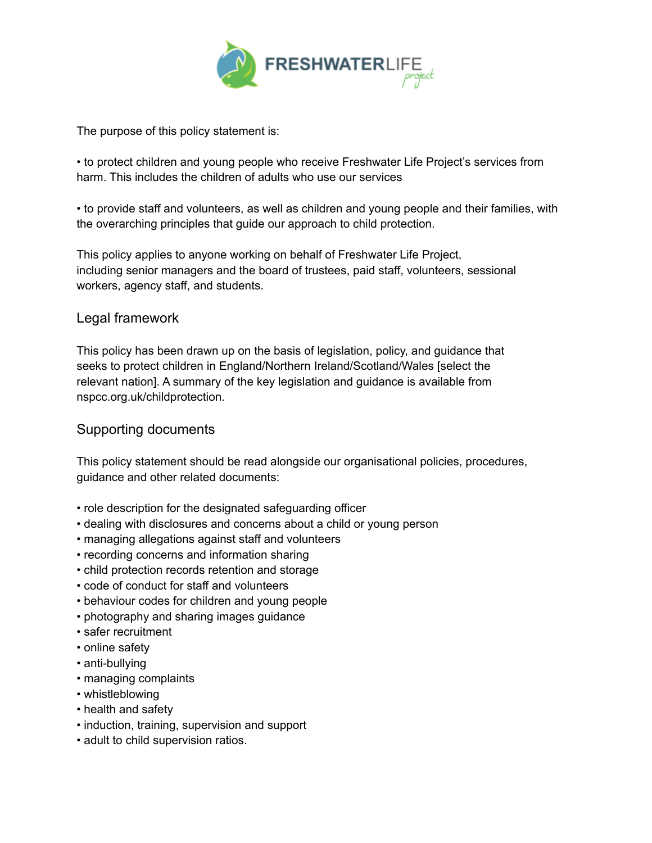

The purpose of this policy statement is:

• to protect children and young people who receive Freshwater Life Project's services from harm. This includes the children of adults who use our services

• to provide staff and volunteers, as well as children and young people and their families, with the overarching principles that guide our approach to child protection.

This policy applies to anyone working on behalf of Freshwater Life Project, including senior managers and the board of trustees, paid staff, volunteers, sessional workers, agency staff, and students.

## Legal framework

This policy has been drawn up on the basis of legislation, policy, and guidance that seeks to protect children in England/Northern Ireland/Scotland/Wales [select the relevant nation]. A summary of the key legislation and guidance is available from nspcc.org.uk/childprotection.

## Supporting documents

This policy statement should be read alongside our organisational policies, procedures, guidance and other related documents:

- role description for the designated safeguarding officer
- dealing with disclosures and concerns about a child or young person
- managing allegations against staff and volunteers
- recording concerns and information sharing
- child protection records retention and storage
- code of conduct for staff and volunteers
- behaviour codes for children and young people
- photography and sharing images guidance
- safer recruitment
- online safety
- anti-bullying
- managing complaints
- whistleblowing
- health and safety
- induction, training, supervision and support
- adult to child supervision ratios.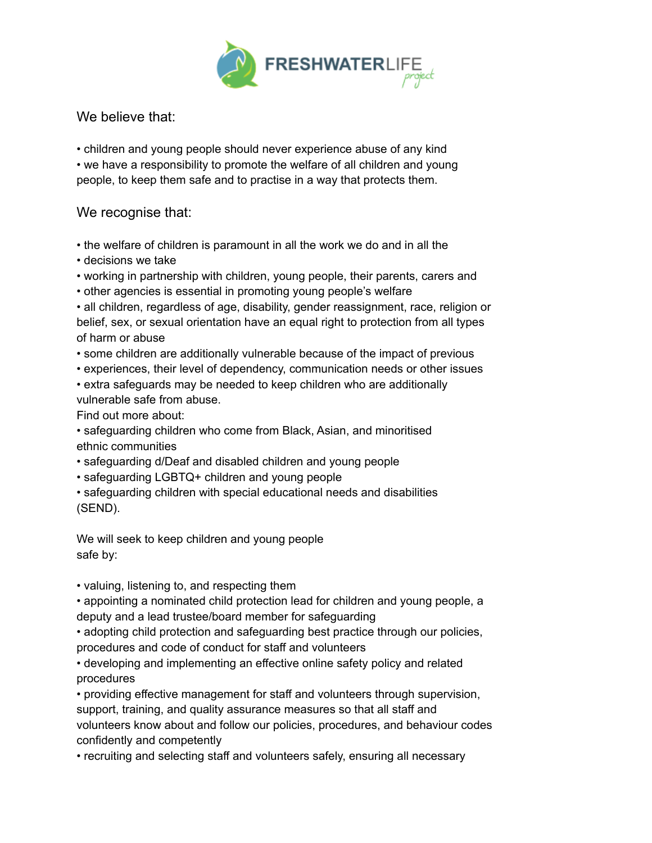

We believe that:

• children and young people should never experience abuse of any kind • we have a responsibility to promote the welfare of all children and young people, to keep them safe and to practise in a way that protects them.

## We recognise that:

- the welfare of children is paramount in all the work we do and in all the
- decisions we take
- working in partnership with children, young people, their parents, carers and
- other agencies is essential in promoting young people's welfare

• all children, regardless of age, disability, gender reassignment, race, religion or belief, sex, or sexual orientation have an equal right to protection from all types of harm or abuse

- some children are additionally vulnerable because of the impact of previous
- experiences, their level of dependency, communication needs or other issues • extra safeguards may be needed to keep children who are additionally

vulnerable safe from abuse.

Find out more about:

• safeguarding children who come from Black, Asian, and minoritised ethnic communities

- safeguarding d/Deaf and disabled children and young people
- safeguarding LGBTQ+ children and young people

• safeguarding children with special educational needs and disabilities (SEND).

We will seek to keep children and young people safe by:

• valuing, listening to, and respecting them

• appointing a nominated child protection lead for children and young people, a deputy and a lead trustee/board member for safeguarding

• adopting child protection and safeguarding best practice through our policies, procedures and code of conduct for staff and volunteers

• developing and implementing an effective online safety policy and related procedures

• providing effective management for staff and volunteers through supervision, support, training, and quality assurance measures so that all staff and volunteers know about and follow our policies, procedures, and behaviour codes confidently and competently

• recruiting and selecting staff and volunteers safely, ensuring all necessary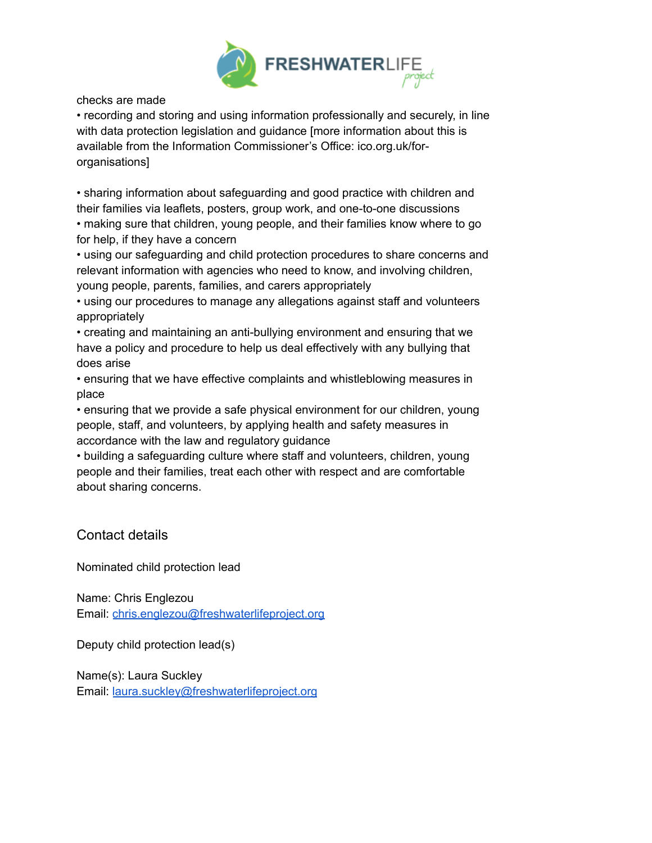

checks are made

• recording and storing and using information professionally and securely, in line with data protection legislation and guidance [more information about this is available from the Information Commissioner's Office: ico.org.uk/fororganisations]

• sharing information about safeguarding and good practice with children and their families via leaflets, posters, group work, and one-to-one discussions • making sure that children, young people, and their families know where to go for help, if they have a concern

• using our safeguarding and child protection procedures to share concerns and relevant information with agencies who need to know, and involving children, young people, parents, families, and carers appropriately

• using our procedures to manage any allegations against staff and volunteers appropriately

• creating and maintaining an anti-bullying environment and ensuring that we have a policy and procedure to help us deal effectively with any bullying that does arise

• ensuring that we have effective complaints and whistleblowing measures in place

• ensuring that we provide a safe physical environment for our children, young people, staff, and volunteers, by applying health and safety measures in accordance with the law and regulatory guidance

• building a safeguarding culture where staff and volunteers, children, young people and their families, treat each other with respect and are comfortable about sharing concerns.

Contact details

Nominated child protection lead

Name: Chris Englezou Email: [chris.englezou@freshwaterlifeproject.org](mailto:chris.englezou@freshwaterlifeproject.org)

Deputy child protection lead(s)

Name(s): Laura Suckley Email: [laura.suckley@freshwaterlifeproject.org](mailto:laura.suckley@freshwaterlifeproject.org)